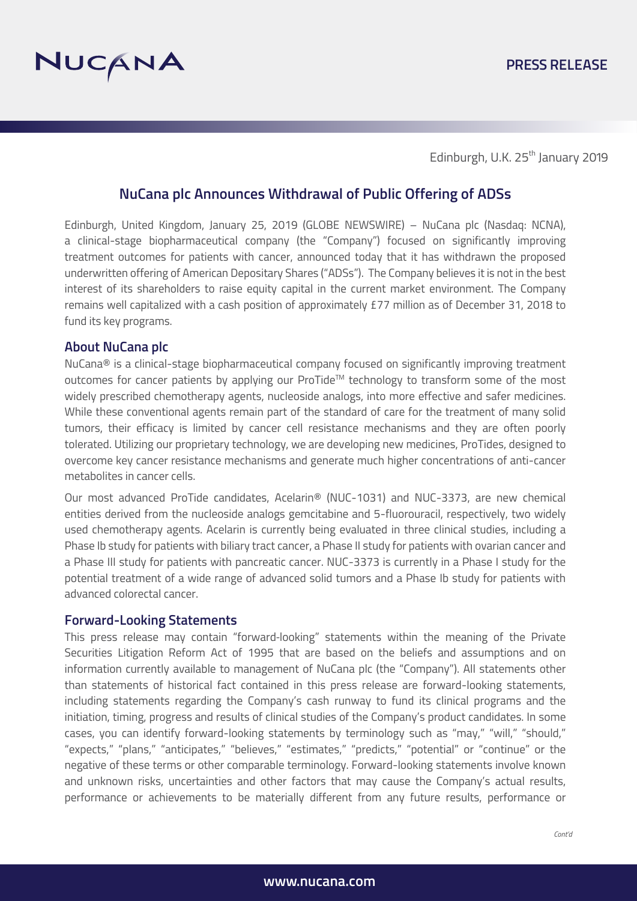

Edinburgh, U.K. 25<sup>th</sup> January 2019

# **NuCana plc Announces Withdrawal of Public Offering of ADSs**

Edinburgh, United Kingdom, January 25, 2019 (GLOBE NEWSWIRE) – NuCana plc (Nasdaq: NCNA), a clinical-stage biopharmaceutical company (the "Company") focused on significantly improving treatment outcomes for patients with cancer, announced today that it has withdrawn the proposed underwritten offering of American Depositary Shares ("ADSs"). The Company believes it is not in the best interest of its shareholders to raise equity capital in the current market environment. The Company remains well capitalized with a cash position of approximately £77 million as of December 31, 2018 to fund its key programs.

### **About NuCana plc**

NuCana® is a clinical-stage biopharmaceutical company focused on significantly improving treatment outcomes for cancer patients by applying our ProTide™ technology to transform some of the most widely prescribed chemotherapy agents, nucleoside analogs, into more effective and safer medicines. While these conventional agents remain part of the standard of care for the treatment of many solid tumors, their efficacy is limited by cancer cell resistance mechanisms and they are often poorly tolerated. Utilizing our proprietary technology, we are developing new medicines, ProTides, designed to overcome key cancer resistance mechanisms and generate much higher concentrations of anti-cancer metabolites in cancer cells.

Our most advanced ProTide candidates, Acelarin® (NUC-1031) and NUC-3373, are new chemical entities derived from the nucleoside analogs gemcitabine and 5-fluorouracil, respectively, two widely used chemotherapy agents. Acelarin is currently being evaluated in three clinical studies, including a Phase Ib study for patients with biliary tract cancer, a Phase II study for patients with ovarian cancer and a Phase III study for patients with pancreatic cancer. NUC-3373 is currently in a Phase I study for the potential treatment of a wide range of advanced solid tumors and a Phase Ib study for patients with advanced colorectal cancer.

#### **Forward-Looking Statements**

This press release may contain "forward-looking" statements within the meaning of the Private Securities Litigation Reform Act of 1995 that are based on the beliefs and assumptions and on information currently available to management of NuCana plc (the "Company"). All statements other than statements of historical fact contained in this press release are forward-looking statements, including statements regarding the Company's cash runway to fund its clinical programs and the initiation, timing, progress and results of clinical studies of the Company's product candidates. In some cases, you can identify forward-looking statements by terminology such as "may," "will," "should," "expects," "plans," "anticipates," "believes," "estimates," "predicts," "potential" or "continue" or the negative of these terms or other comparable terminology. Forward-looking statements involve known and unknown risks, uncertainties and other factors that may cause the Company's actual results, performance or achievements to be materially different from any future results, performance or